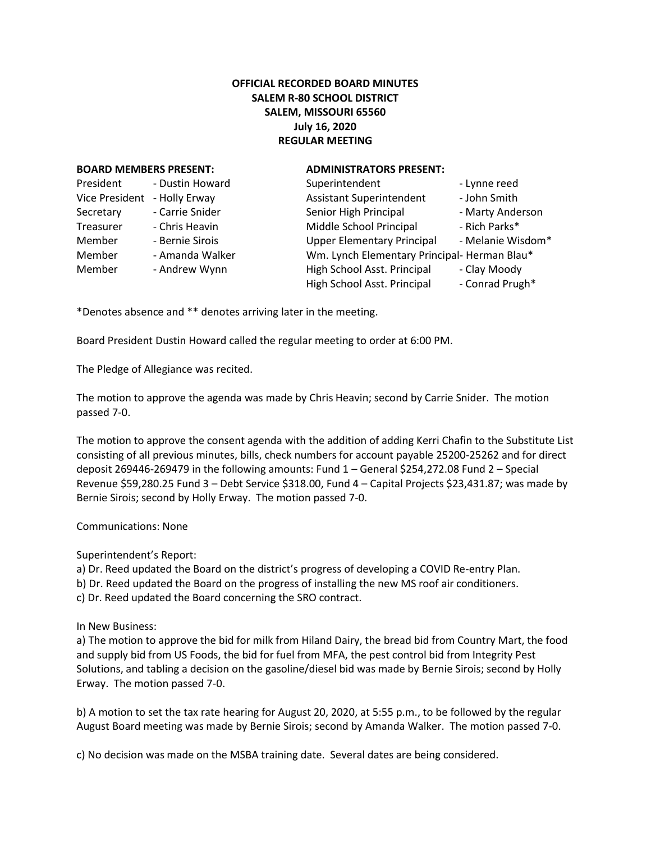## **OFFICIAL RECORDED BOARD MINUTES SALEM R-80 SCHOOL DISTRICT SALEM, MISSOURI 65560 July 16, 2020 REGULAR MEETING**

## **BOARD MEMBERS PRESENT: ADMINISTRATORS PRESENT:**

| President      | - Dustin Howard | Superintendent                              | - Lynne reed      |
|----------------|-----------------|---------------------------------------------|-------------------|
| Vice President | - Holly Erway   | <b>Assistant Superintendent</b>             | - John Smith      |
| Secretary      | - Carrie Snider | Senior High Principal                       | - Marty Anderson  |
| Treasurer      | - Chris Heavin  | Middle School Principal                     | - Rich Parks*     |
| Member         | - Bernie Sirois | <b>Upper Elementary Principal</b>           | - Melanie Wisdom* |
| Member         | - Amanda Walker | Wm. Lynch Elementary Principal-Herman Blau* |                   |
| Member         | - Andrew Wynn   | High School Asst. Principal                 | - Clay Moody      |
|                |                 | High School Asst. Principal                 | - Conrad Prugh*   |

\*Denotes absence and \*\* denotes arriving later in the meeting.

Board President Dustin Howard called the regular meeting to order at 6:00 PM.

The Pledge of Allegiance was recited.

The motion to approve the agenda was made by Chris Heavin; second by Carrie Snider. The motion passed 7-0.

The motion to approve the consent agenda with the addition of adding Kerri Chafin to the Substitute List consisting of all previous minutes, bills, check numbers for account payable 25200-25262 and for direct deposit 269446-269479 in the following amounts: Fund 1 – General \$254,272.08 Fund 2 – Special Revenue \$59,280.25 Fund 3 – Debt Service \$318.00, Fund 4 – Capital Projects \$23,431.87; was made by Bernie Sirois; second by Holly Erway. The motion passed 7-0.

Communications: None

Superintendent's Report:

a) Dr. Reed updated the Board on the district's progress of developing a COVID Re-entry Plan.

b) Dr. Reed updated the Board on the progress of installing the new MS roof air conditioners.

c) Dr. Reed updated the Board concerning the SRO contract.

In New Business:

a) The motion to approve the bid for milk from Hiland Dairy, the bread bid from Country Mart, the food and supply bid from US Foods, the bid for fuel from MFA, the pest control bid from Integrity Pest Solutions, and tabling a decision on the gasoline/diesel bid was made by Bernie Sirois; second by Holly Erway. The motion passed 7-0.

b) A motion to set the tax rate hearing for August 20, 2020, at 5:55 p.m., to be followed by the regular August Board meeting was made by Bernie Sirois; second by Amanda Walker. The motion passed 7-0.

c) No decision was made on the MSBA training date. Several dates are being considered.